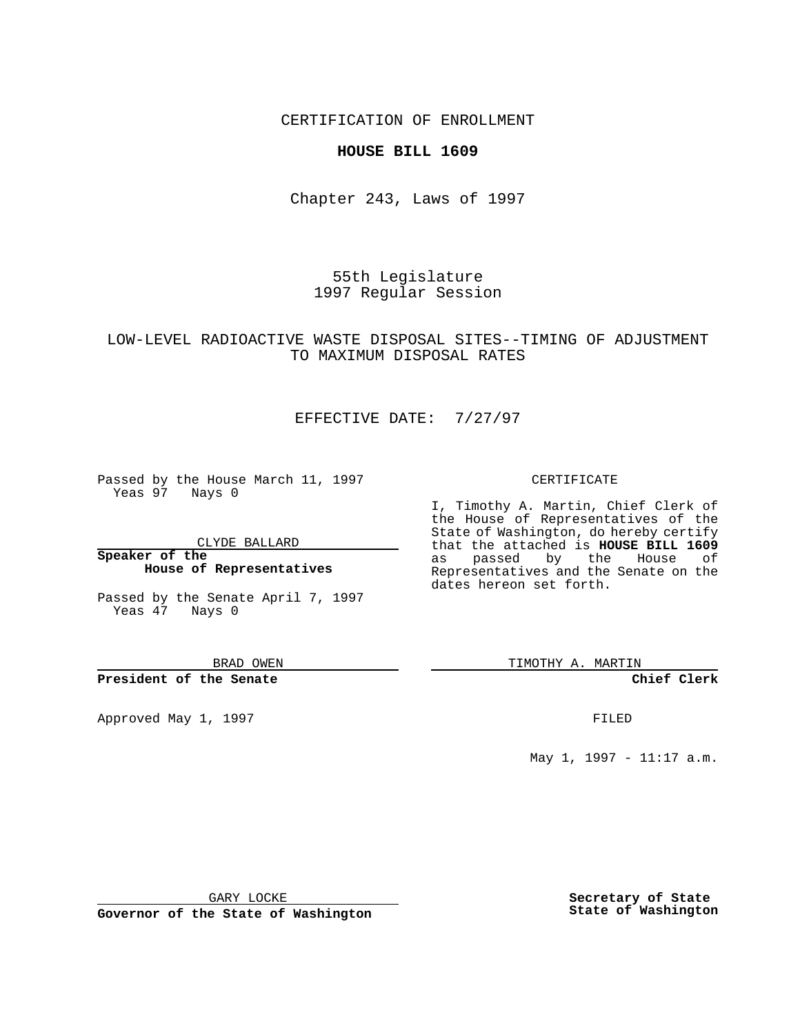### CERTIFICATION OF ENROLLMENT

### **HOUSE BILL 1609**

Chapter 243, Laws of 1997

55th Legislature 1997 Regular Session

## LOW-LEVEL RADIOACTIVE WASTE DISPOSAL SITES--TIMING OF ADJUSTMENT TO MAXIMUM DISPOSAL RATES

# EFFECTIVE DATE: 7/27/97

Passed by the House March 11, 1997 Yeas 97 Nays 0

CLYDE BALLARD

**Speaker of the House of Representatives**

Passed by the Senate April 7, 1997 Yeas 47 Nays 0

BRAD OWEN

#### **President of the Senate**

Approved May 1, 1997 **FILED** 

CERTIFICATE

I, Timothy A. Martin, Chief Clerk of the House of Representatives of the State of Washington, do hereby certify that the attached is **HOUSE BILL 1609** as passed by the House of Representatives and the Senate on the dates hereon set forth.

TIMOTHY A. MARTIN

**Chief Clerk**

May 1, 1997 - 11:17 a.m.

GARY LOCKE

**Governor of the State of Washington**

**Secretary of State State of Washington**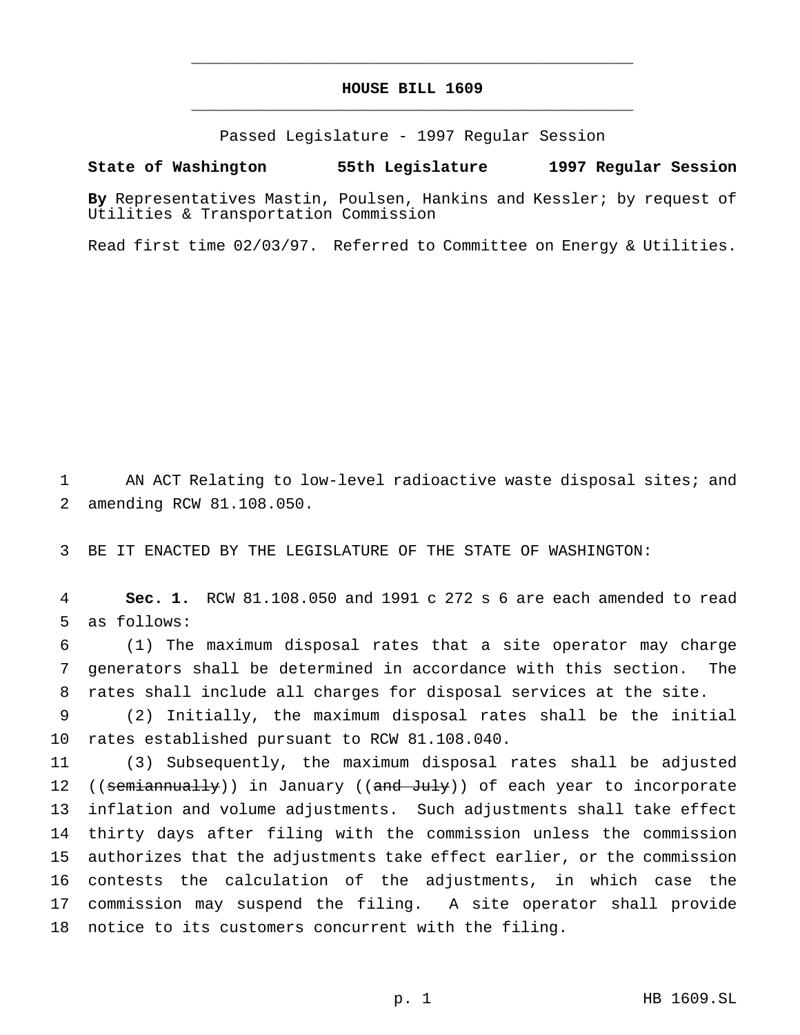# **HOUSE BILL 1609** \_\_\_\_\_\_\_\_\_\_\_\_\_\_\_\_\_\_\_\_\_\_\_\_\_\_\_\_\_\_\_\_\_\_\_\_\_\_\_\_\_\_\_\_\_\_\_

\_\_\_\_\_\_\_\_\_\_\_\_\_\_\_\_\_\_\_\_\_\_\_\_\_\_\_\_\_\_\_\_\_\_\_\_\_\_\_\_\_\_\_\_\_\_\_

Passed Legislature - 1997 Regular Session

#### **State of Washington 55th Legislature 1997 Regular Session**

**By** Representatives Mastin, Poulsen, Hankins and Kessler; by request of Utilities & Transportation Commission

Read first time 02/03/97. Referred to Committee on Energy & Utilities.

 AN ACT Relating to low-level radioactive waste disposal sites; and amending RCW 81.108.050.

BE IT ENACTED BY THE LEGISLATURE OF THE STATE OF WASHINGTON:

 **Sec. 1.** RCW 81.108.050 and 1991 c 272 s 6 are each amended to read as follows:

 (1) The maximum disposal rates that a site operator may charge generators shall be determined in accordance with this section. The rates shall include all charges for disposal services at the site.

 (2) Initially, the maximum disposal rates shall be the initial rates established pursuant to RCW 81.108.040.

 (3) Subsequently, the maximum disposal rates shall be adjusted 12 ((semiannually)) in January ((and July)) of each year to incorporate inflation and volume adjustments. Such adjustments shall take effect thirty days after filing with the commission unless the commission authorizes that the adjustments take effect earlier, or the commission contests the calculation of the adjustments, in which case the commission may suspend the filing. A site operator shall provide notice to its customers concurrent with the filing.